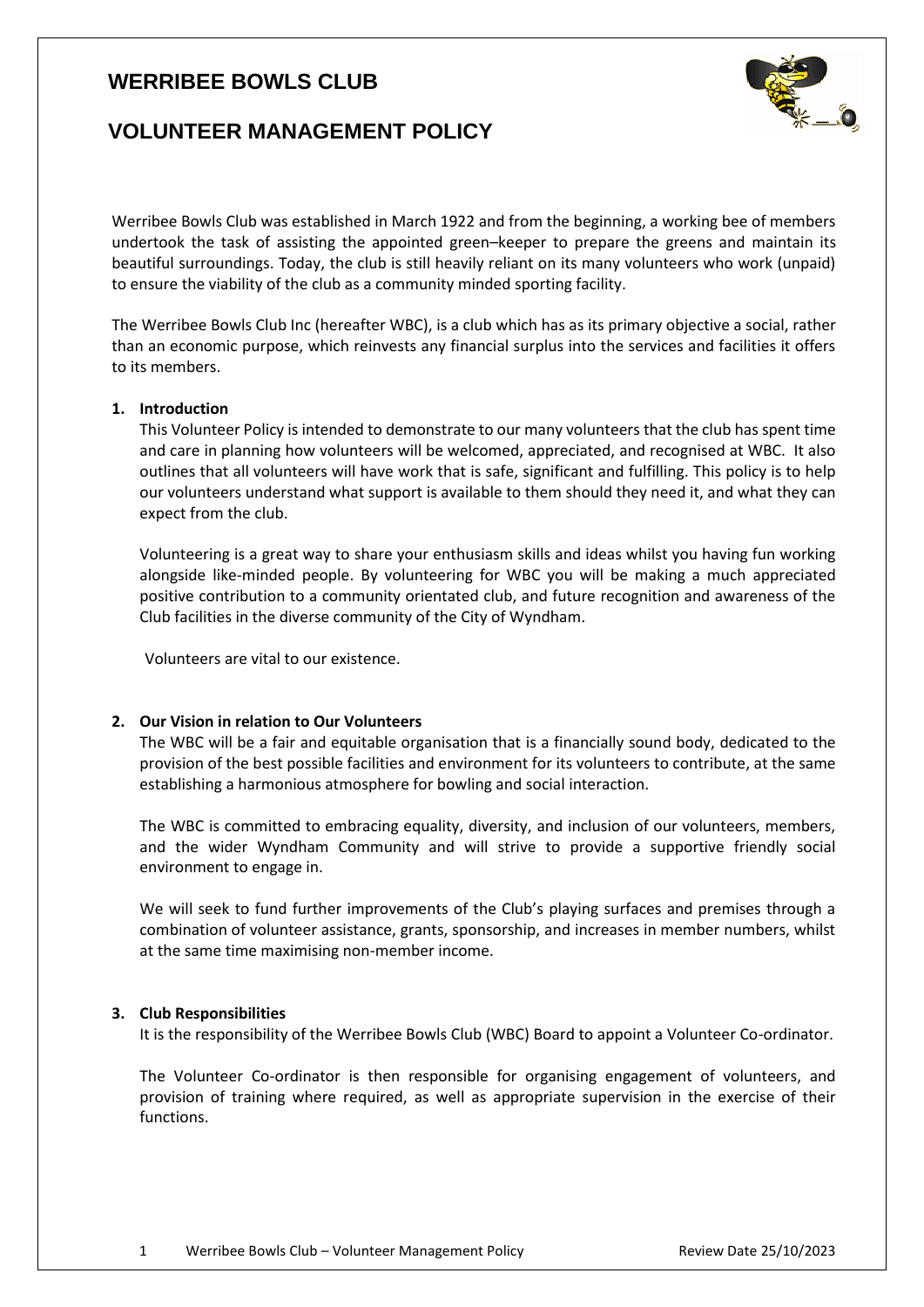

# **VOLUNTEER MANAGEMENT POLICY**

Werribee Bowls Club was established in March 1922 and from the beginning, a working bee of members undertook the task of assisting the appointed green–keeper to prepare the greens and maintain its beautiful surroundings. Today, the club is still heavily reliant on its many volunteers who work (unpaid) to ensure the viability of the club as a community minded sporting facility.

The Werribee Bowls Club Inc (hereafter WBC), is a club which has as its primary objective a social, rather than an economic purpose, which reinvests any financial surplus into the services and facilities it offers to its members.

#### **1. Introduction**

This Volunteer Policy is intended to demonstrate to our many volunteers that the club has spent time and care in planning how volunteers will be welcomed, appreciated, and recognised at WBC. It also outlines that all volunteers will have work that is safe, significant and fulfilling. This policy is to help our volunteers understand what support is available to them should they need it, and what they can expect from the club.

Volunteering is a great way to share your enthusiasm skills and ideas whilst you having fun working alongside like-minded people. By volunteering for WBC you will be making a much appreciated positive contribution to a community orientated club, and future recognition and awareness of the Club facilities in the diverse community of the City of Wyndham.

Volunteers are vital to our existence.

#### **2. Our Vision in relation to Our Volunteers**

The WBC will be a fair and equitable organisation that is a financially sound body, dedicated to the provision of the best possible facilities and environment for its volunteers to contribute, at the same establishing a harmonious atmosphere for bowling and social interaction.

The WBC is committed to embracing equality, diversity, and inclusion of our volunteers, members, and the wider Wyndham Community and will strive to provide a supportive friendly social environment to engage in.

We will seek to fund further improvements of the Club's playing surfaces and premises through a combination of volunteer assistance, grants, sponsorship, and increases in member numbers, whilst at the same time maximising non-member income.

#### **3. Club Responsibilities**

It is the responsibility of the Werribee Bowls Club (WBC) Board to appoint a Volunteer Co-ordinator.

The Volunteer Co-ordinator is then responsible for organising engagement of volunteers, and provision of training where required, as well as appropriate supervision in the exercise of their functions.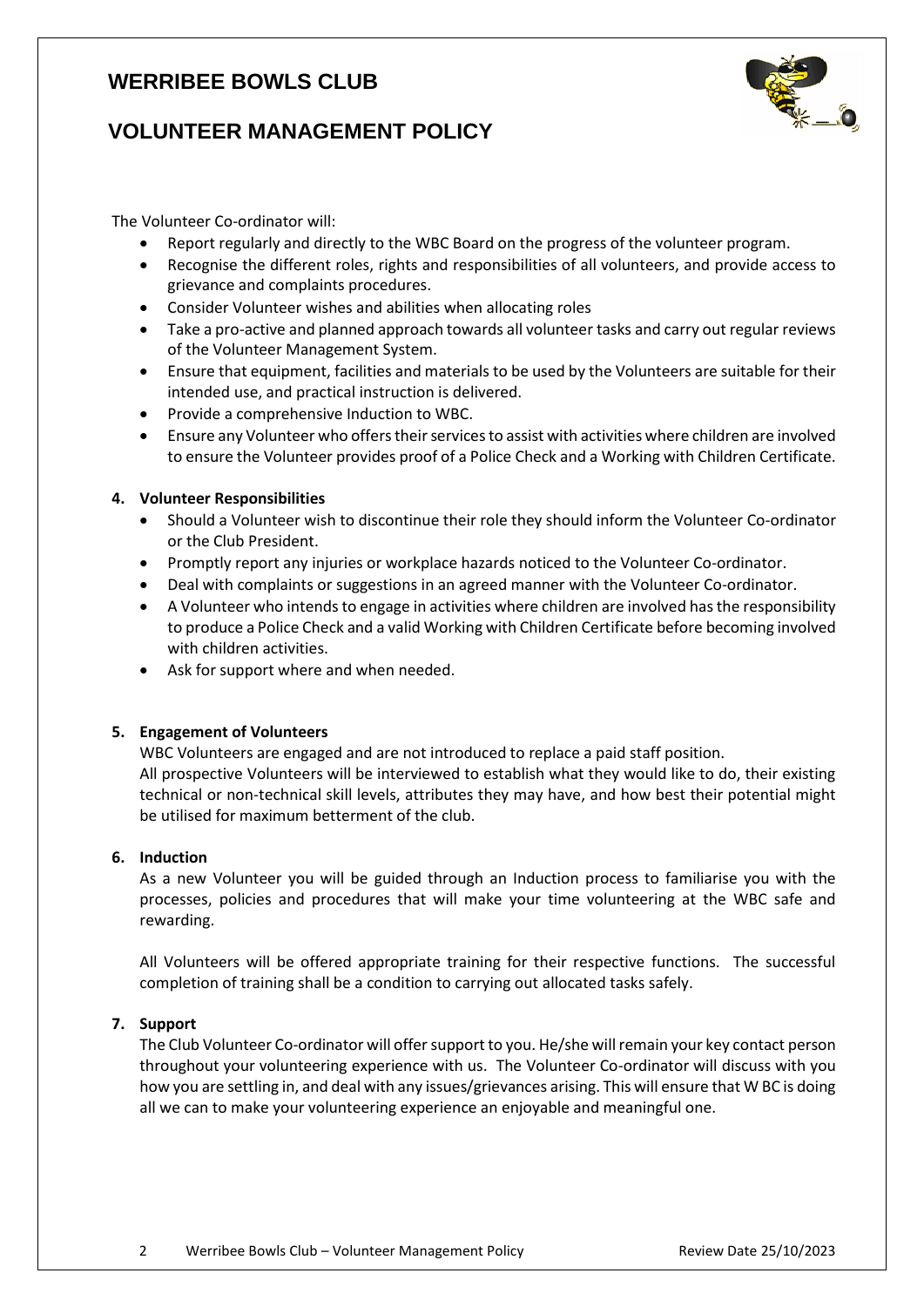

# **VOLUNTEER MANAGEMENT POLICY**

The Volunteer Co-ordinator will:

- Report regularly and directly to the WBC Board on the progress of the volunteer program.
- Recognise the different roles, rights and responsibilities of all volunteers, and provide access to grievance and complaints procedures.
- Consider Volunteer wishes and abilities when allocating roles
- Take a pro-active and planned approach towards all volunteer tasks and carry out regular reviews of the Volunteer Management System.
- Ensure that equipment, facilities and materials to be used by the Volunteers are suitable for their intended use, and practical instruction is delivered.
- Provide a comprehensive Induction to WBC.
- Ensure any Volunteer who offers their services to assist with activities where children are involved to ensure the Volunteer provides proof of a Police Check and a Working with Children Certificate.

#### **4. Volunteer Responsibilities**

- Should a Volunteer wish to discontinue their role they should inform the Volunteer Co-ordinator or the Club President.
- Promptly report any injuries or workplace hazards noticed to the Volunteer Co-ordinator.
- Deal with complaints or suggestions in an agreed manner with the Volunteer Co-ordinator.
- A Volunteer who intends to engage in activities where children are involved has the responsibility to produce a Police Check and a valid Working with Children Certificate before becoming involved with children activities.
- Ask for support where and when needed.

#### **5. Engagement of Volunteers**

WBC Volunteers are engaged and are not introduced to replace a paid staff position.

All prospective Volunteers will be interviewed to establish what they would like to do, their existing technical or non-technical skill levels, attributes they may have, and how best their potential might be utilised for maximum betterment of the club.

#### **6. Induction**

As a new Volunteer you will be guided through an Induction process to familiarise you with the processes, policies and procedures that will make your time volunteering at the WBC safe and rewarding.

All Volunteers will be offered appropriate training for their respective functions. The successful completion of training shall be a condition to carrying out allocated tasks safely.

#### **7. Support**

The Club Volunteer Co-ordinator will offer support to you. He/she will remain your key contact person throughout your volunteering experience with us. The Volunteer Co-ordinator will discuss with you how you are settling in, and deal with any issues/grievances arising. This will ensure that W BC is doing all we can to make your volunteering experience an enjoyable and meaningful one.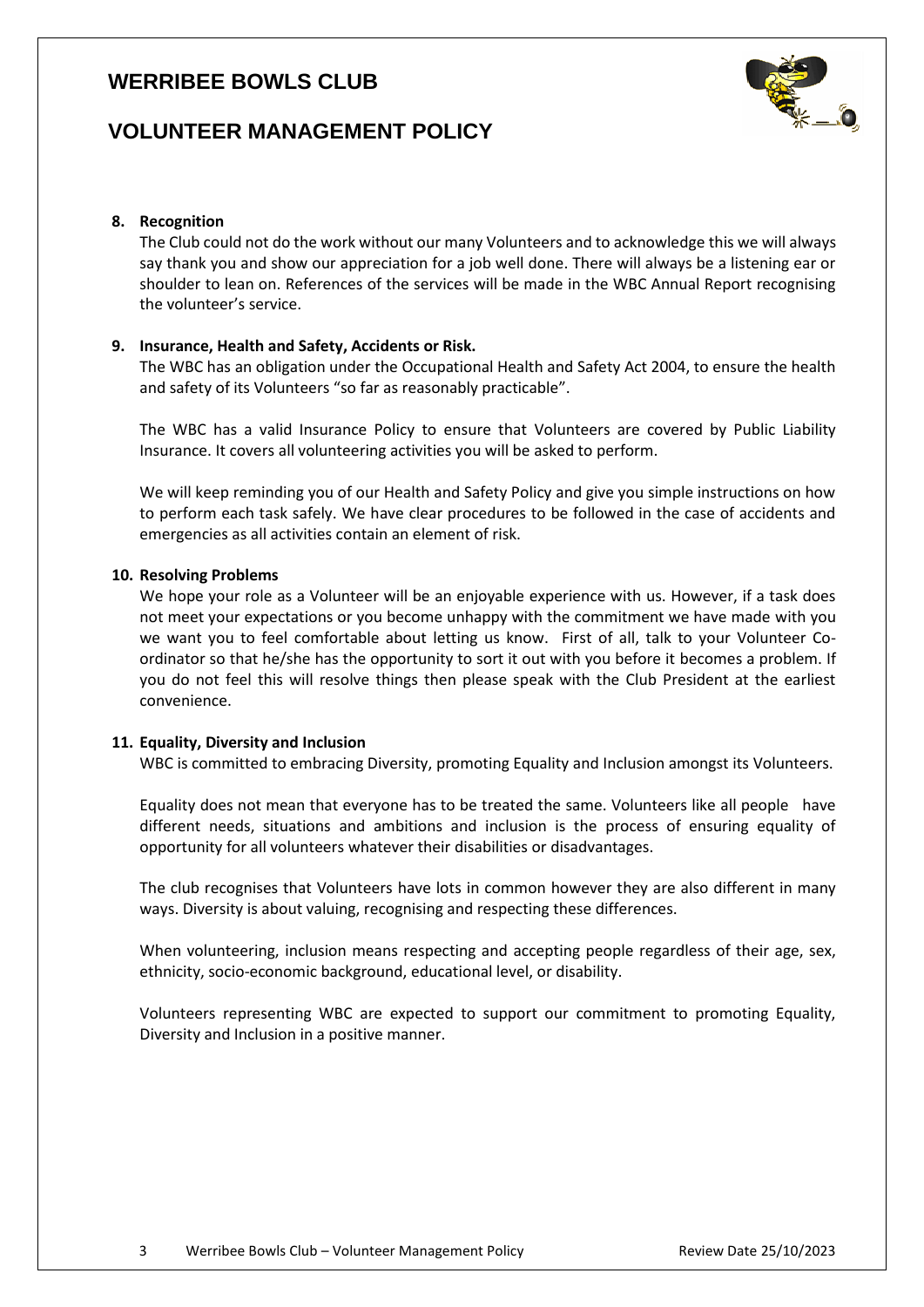

# **VOLUNTEER MANAGEMENT POLICY**

#### **8. Recognition**

The Club could not do the work without our many Volunteers and to acknowledge this we will always say thank you and show our appreciation for a job well done. There will always be a listening ear or shoulder to lean on. References of the services will be made in the WBC Annual Report recognising the volunteer's service.

### **9. Insurance, Health and Safety, Accidents or Risk.**

The WBC has an obligation under the Occupational Health and Safety Act 2004, to ensure the health and safety of its Volunteers "so far as reasonably practicable".

The WBC has a valid Insurance Policy to ensure that Volunteers are covered by Public Liability Insurance. It covers all volunteering activities you will be asked to perform.

We will keep reminding you of our Health and Safety Policy and give you simple instructions on how to perform each task safely. We have clear procedures to be followed in the case of accidents and emergencies as all activities contain an element of risk.

#### **10. Resolving Problems**

We hope your role as a Volunteer will be an enjoyable experience with us. However, if a task does not meet your expectations or you become unhappy with the commitment we have made with you we want you to feel comfortable about letting us know. First of all, talk to your Volunteer Coordinator so that he/she has the opportunity to sort it out with you before it becomes a problem. If you do not feel this will resolve things then please speak with the Club President at the earliest convenience.

#### **11. Equality, Diversity and Inclusion**

WBC is committed to embracing Diversity, promoting Equality and Inclusion amongst its Volunteers.

Equality does not mean that everyone has to be treated the same. Volunteers like all people have different needs, situations and ambitions and inclusion is the process of ensuring equality of opportunity for all volunteers whatever their disabilities or disadvantages.

The club recognises that Volunteers have lots in common however they are also different in many ways. Diversity is about valuing, recognising and respecting these differences.

When volunteering, inclusion means respecting and accepting people regardless of their age, sex, ethnicity, socio-economic background, educational level, or disability.

Volunteers representing WBC are expected to support our commitment to promoting Equality, Diversity and Inclusion in a positive manner.